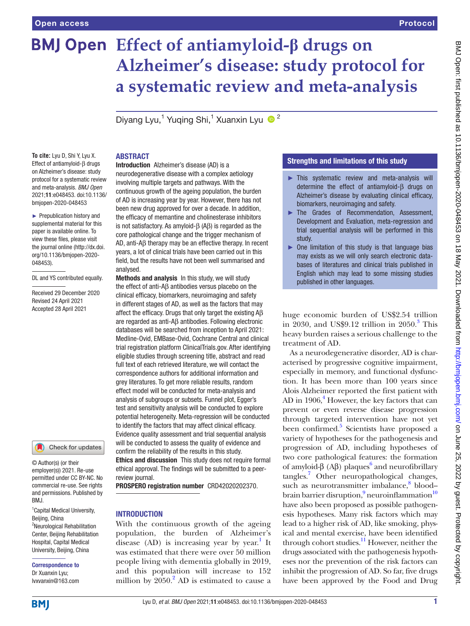# **Effect of antiamyloid-β drugs on Alzheimer's disease: study protocol for a systematic review and meta-analysis**

Diyang Lyu,<sup>1</sup> Yuqing Shi,<sup>1</sup> Xuanxin Lyu <sup>1</sup>

**To cite:** Lyu D, Shi Y, Lyu X. Effect of antiamyloid-β drugs on Alzheimer's disease: study protocol for a systematic review and meta-analysis. *BMJ Open* 2021;11:e048453. doi:10.1136/ bmjopen-2020-048453

► Prepublication history and supplemental material for this paper is available online. To view these files, please visit the journal online (http://dx.doi. org/10.1136/bmjopen-2020- 048453).

DL and YS contributed equally.

Received 29 December 2020 Revised 24 April 2021 Accepted 28 April 2021



© Author(s) (or their employer(s)) 2021. Re-use permitted under CC BY-NC. No commercial re-use. See rights and permissions. Published by BMJ.

<sup>1</sup> Capital Medical University, Beijing, China <sup>2</sup>Neurological Rehabilitation Center, Beijing Rehabilitation Hospital, Capital Medical University, Beijing, China

Correspondence to Dr Xuanxin Lyu; lvxvanxin@163.com

#### ABSTRACT

Introduction Alzheimer's disease (AD) is a neurodegenerative disease with a complex aetiology involving multiple targets and pathways. With the continuous growth of the ageing population, the burden of AD is increasing year by year. However, there has not been new drug approved for over a decade. In addition, the efficacy of memantine and cholinesterase inhibitors is not satisfactory. As amyloid-β (Aβ) is regarded as the core pathological change and the trigger mechanism of AD, anti-Aβ therapy may be an effective therapy. In recent years, a lot of clinical trials have been carried out in this field, but the results have not been well summarised and analysed.

Methods and analysis In this study, we will study the effect of anti-Aβ antibodies versus placebo on the clinical efficacy, biomarkers, neuroimaging and safety in different stages of AD, as well as the factors that may affect the efficacy. Drugs that only target the existing Aβ are regarded as anti-Aβ antibodies. Following electronic databases will be searched from inception to April 2021: Medline-Ovid, EMBase-Ovid, Cochrane Central and clinical trial registration platform ClinicalTrials.gov. After identifying eligible studies through screening title, abstract and read full text of each retrieved literature, we will contact the correspondence authors for additional information and grey literatures. To get more reliable results, random effect model will be conducted for meta-analysis and analysis of subgroups or subsets. Funnel plot, Egger's test and sensitivity analysis will be conducted to explore potential heterogeneity. Meta-regression will be conducted to identify the factors that may affect clinical efficacy. Evidence quality assessment and trial sequential analysis will be conducted to assess the quality of evidence and confirm the reliability of the results in this study. Ethics and discussion This study does not require formal ethical approval. The findings will be submitted to a peer-

review journal.

PROSPERO registration number CRD42020202370.

#### **INTRODUCTION**

With the continuous growth of the ageing population, the burden of Alzheimer's disease  $(AD)$  is increasing year by year.<sup>1</sup> It was estimated that there were over 50 million people living with dementia globally in 2019, and this population will increase to 152 million by  $2050$  $2050$ .<sup>2</sup> AD is estimated to cause a

# Strengths and limitations of this study

- ► This systematic review and meta-analysis will determine the effect of antiamyloid-β drugs on Alzheimer's disease by evaluating clinical efficacy, biomarkers, neuroimaging and safety.
- ► The Grades of Recommendation, Assessment, Development and Evaluation, meta-regression and trial sequential analysis will be performed in this study.
- ► One limitation of this study is that language bias may exists as we will only search electronic databases of literatures and clinical trials published in English which may lead to some missing studies published in other languages.

huge economic burden of US\$2.54 trillion in 20[3](#page-5-2)0, and US\$9.12 trillion in  $2050.<sup>3</sup>$  This heavy burden raises a serious challenge to the treatment of AD.

As a neurodegenerative disorder, AD is characterised by progressive cognitive impairment, especially in memory, and functional dysfunction. It has been more than 100 years since Alois Alzheimer reported the first patient with AD in 1906,<sup>[4](#page-5-3)</sup> However, the key factors that can prevent or even reverse disease progression through targeted intervention have not yet been confirmed.<sup>[5](#page-5-4)</sup> Scientists have proposed a variety of hypotheses for the pathogenesis and progression of AD, including hypotheses of two core pathological features: the formation of amyloid-β (Aβ) plaques<sup>[6](#page-5-5)</sup> and neurofibrillary tangles[.7](#page-5-6) Other neuropathological changes, such as neurotransmitter imbalance,<sup>8</sup> blood-brain barrier disruption,<sup>[9](#page-5-8)</sup> neuroinflammation<sup>10</sup> have also been proposed as possible pathogenesis hypotheses. Many risk factors which may lead to a higher risk of AD, like smoking, physical and mental exercise, have been identified through cohort studies.<sup>11</sup> However, neither the drugs associated with the pathogenesis hypotheses nor the prevention of the risk factors can inhibit the progression of AD. So far, five drugs have been approved by the Food and Drug

**BMI**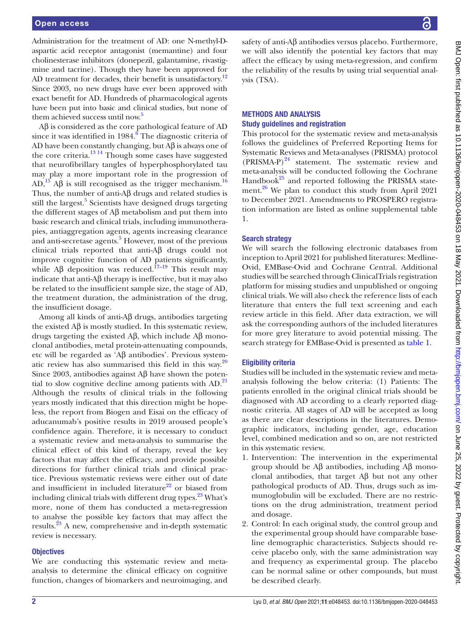#### Open access

Administration for the treatment of AD: one N-methyl-Daspartic acid receptor antagonist (memantine) and four cholinesterase inhibitors (donepezil, galantamine, rivastigmine and tacrine). Though they have been approved for AD treatment for decades, their benefit is unsatisfactory.<sup>[12](#page-5-11)</sup> Since 2003, no new drugs have ever been approved with exact benefit for AD. Hundreds of pharmacological agents have been put into basic and clinical studies, but none of them achieved success until now.<sup>5</sup>

Aβ is considered as the core pathological feature of AD since it was identified in 1984.<sup>[6](#page-5-5)</sup> The diagnostic criteria of AD have been constantly changing, but Aβ is always one of the core criteria.<sup>13</sup> <sup>14</sup> Though some cases have suggested that neurofibrillary tangles of hyperphosphorylated tau may play a more important role in the progression of AD,<sup>15</sup> A $\beta$  is still recognised as the trigger mechanism.<sup>[16](#page-5-14)</sup> Thus, the number of anti-Aβ drugs and related studies is still the largest.<sup>5</sup> Scientists have designed drugs targeting the different stages of Aβ metabolism and put them into basic research and clinical trials, including immunotherapies, antiaggregation agents, agents increasing clearance and anti-secretase agents.<sup>[5](#page-5-4)</sup> However, most of the previous clinical trials reported that anti-Aβ drugs could not improve cognitive function of AD patients significantly, while Aβ deposition was reduced.<sup>17-19</sup> This result may indicate that anti- $\Delta\beta$  therapy is ineffective, but it may also be related to the insufficient sample size, the stage of AD, the treatment duration, the administration of the drug, the insufficient dosage.

Among all kinds of anti-Aβ drugs, antibodies targeting the existed  $\Delta \beta$  is mostly studied. In this systematic review, drugs targeting the existed Aβ, which include Aβ monoclonal antibodies, metal protein-attenuating compounds, etc will be regarded as 'Aβ antibodies'. Previous systematic review has also summarised this field in this way. $20$ Since 2003, antibodies against Aβ have shown the potential to slow cognitive decline among patients with  $AD<sup>21</sup>$ . Although the results of clinical trials in the following years mostly indicated that this direction might be hopeless, the report from Biogen and Eisai on the efficacy of aducanumab's positive results in 2019 aroused people's confidence again. Therefore, it is necessary to conduct a systematic review and meta-analysis to summarise the clinical effect of this kind of therapy, reveal the key factors that may affect the efficacy, and provide possible directions for further clinical trials and clinical practice. Previous systematic reviews were either out of date and insufficient in included literature $22$  or biased from including clinical trials with different drug types. $^{23}$  What's more, none of them has conducted a meta-regression to analyse the possible key factors that may affect the results[.23](#page-5-19) A new, comprehensive and in-depth systematic review is necessary.

#### **Objectives**

We are conducting this systematic review and metaanalysis to determine the clinical efficacy on cognitive function, changes of biomarkers and neuroimaging, and

safety of anti-Aβ antibodies versus placebo. Furthermore, we will also identify the potential key factors that may affect the efficacy by using meta-regression, and confirm the reliability of the results by using trial sequential analysis (TSA).

# METHODS AND ANALYSIS Study guidelines and registration

This protocol for the systematic review and meta-analysis follows the guidelines of Preferred Reporting Items for Systematic Reviews and Meta-analyses (PRISMA) protocol  $(PRISMA-P)<sup>24</sup>$  $(PRISMA-P)<sup>24</sup>$  $(PRISMA-P)<sup>24</sup>$  statement. The systematic review and meta-analysis will be conducted following the Cochrane Handbook $^{25}$  and reported following the PRISMA statement. $^{26}$  We plan to conduct this study from April 2021 to December 2021. Amendments to PROSPERO registration information are listed as [online supplemental table](https://dx.doi.org/10.1136/bmjopen-2020-048453)  [1](https://dx.doi.org/10.1136/bmjopen-2020-048453).

# Search strategy

We will search the following electronic databases from inception to April 2021 for published literatures: Medline-Ovid, EMBase-Ovid and Cochrane Central. Additional studies will be searched through ClinicalTrials registration platform for missing studies and unpublished or ongoing clinical trials. We will also check the reference lists of each literature that enters the full text screening and each review article in this field. After data extraction, we will ask the corresponding authors of the included literatures for more grey literature to avoid potential missing. The search strategy for EMBase-Ovid is presented as [table](#page-2-0) 1.

# Eligibility criteria

Studies will be included in the systematic review and metaanalysis following the below criteria: (1) Patients: The patients enrolled in the original clinical trials should be diagnosed with AD according to a clearly reported diagnostic criteria. All stages of AD will be accepted as long as there are clear descriptions in the literatures. Demographic indicators, including gender, age, education level, combined medication and so on, are not restricted in this systematic review.

- 1. Intervention: The intervention in the experimental group should be Aβ antibodies, including Aβ monoclonal antibodies, that target Aβ but not any other pathological products of AD. Thus, drugs such as immunoglobulin will be excluded. There are no restrictions on the drug administration, treatment period and dosage.
- 2. Control: In each original study, the control group and the experimental group should have comparable baseline demographic characteristics. Subjects should receive placebo only, with the same administration way and frequency as experimental group. The placebo can be normal saline or other compounds, but must be described clearly.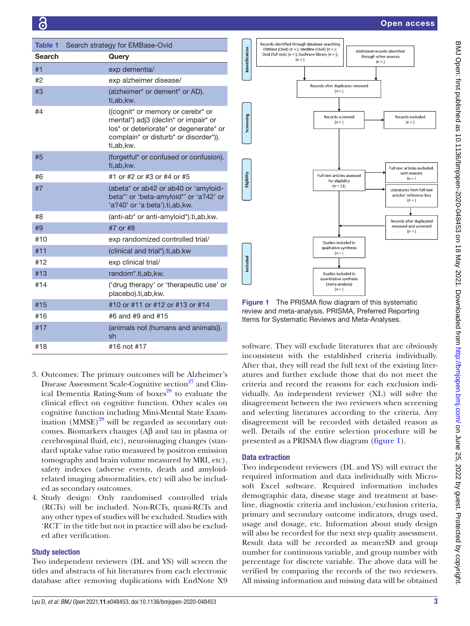<span id="page-2-0"></span>

| Table 1       | Search strategy for EMBase-Ovid                                                                                                                                            |  |
|---------------|----------------------------------------------------------------------------------------------------------------------------------------------------------------------------|--|
| <b>Search</b> | Query                                                                                                                                                                      |  |
| #1            | exp dementia/                                                                                                                                                              |  |
| #2            | exp alzheimer disease/                                                                                                                                                     |  |
| #3            | (alzheimer* or dement* or AD).<br>ti,ab, kw.                                                                                                                               |  |
| #4            | ((cognit* or memory or cerebr* or<br>mental*) adj3 (declin* or impair* or<br>los* or deteriorate* or degenerate* or<br>complain* or disturb* or disorder*)).<br>ti,ab, kw. |  |
| #5            | (forgetful* or confused or confusion).<br>ti,ab, kw.                                                                                                                       |  |
| #6            | #1 or #2 or #3 or #4 or #5                                                                                                                                                 |  |
| #7            | (abeta* or ab42 or ab40 or 'amyloid-<br>beta*' or 'beta-amyloid*' or 'a?42' or<br>'a?40' or 'a beta').ti,ab,kw.                                                            |  |
| #8            | (anti-ab* or anti-amyloid*).ti,ab, kw.                                                                                                                                     |  |
| #9            | #7 or #8                                                                                                                                                                   |  |
| #10           | exp randomized controlled trial/                                                                                                                                           |  |
| #11           | (clinical and trial*).ti, ab.kw                                                                                                                                            |  |
| #12           | exp clinical trial/                                                                                                                                                        |  |
| #13           | random*.ti,ab,kw.                                                                                                                                                          |  |
| #14           | ('drug therapy' or 'therapeutic use' or<br>placebo).ti,ab, kw.                                                                                                             |  |
| #15           | #10 or #11 or #12 or #13 or #14                                                                                                                                            |  |
| #16           | #6 and #9 and #15                                                                                                                                                          |  |
| #17           | (animals not (humans and animals)).<br>sh                                                                                                                                  |  |
| #18           | #16 not #17                                                                                                                                                                |  |

- 3. Outcomes: The primary outcomes will be Alzheimer's Disease Assessment Scale-Cognitive section<sup>27</sup> and Clinical Dementia Rating-Sum of boxes $^{28}$  to evaluate the clinical effect on cognitive function. Other scales on cognitive function including Mini-Mental State Examination  $(MMSE)^{29}$  will be regarded as secondary outcomes. Biomarkers changes (Aβ and tau in plasma or cerebrospinal fluid, etc), neuroimaging changes (standard uptake value ratio measured by positron emission tomography and brain volume measured by MRI, etc), safety indexes (adverse events, death and amyloidrelated imaging abnormalities, etc) will also be included as secondary outcomes.
- 4. Study design: Only randomised controlled trials (RCTs) will be included. Non-RCTs, quasi-RCTs and any other types of studies will be excluded. Studies with 'RCT' in the title but not in practice will also be excluded after verification.

# Study selection

Two independent reviewers (DL and YS) will screen the titles and abstracts of hit literatures from each electronic database after removing duplications with EndNote X9



<span id="page-2-1"></span>review and meta-analysis. PRISMA, Preferred Reporting Items for Systematic Reviews and Meta-Analyses.

software. They will exclude literatures that are obviously inconsistent with the established criteria individually. After that, they will read the full text of the existing literatures and further exclude those that do not meet the criteria and record the reasons for each exclusion individually. An independent reviewer (XL) will solve the disagreement between the two reviewers when screening and selecting literatures according to the criteria. Any disagreement will be recorded with detailed reason as well. Details of the entire selection procedure will be presented as a PRISMA flow diagram [\(figure](#page-2-1) 1).

# Data extraction

Two independent reviewers (DL and YS) will extract the required information and data individually with Microsoft Excel software. Required information includes demographic data, disease stage and treatment at baseline, diagnostic criteria and inclusion/exclusion criteria, primary and secondary outcome indicators, drugs used, usage and dosage, etc. Information about study design will also be recorded for the next step quality assessment. Result data will be recorded as mean±SD and group number for continuous variable, and group number with percentage for discrete variable. The above data will be verified by comparing the records of the two reviewers. All missing information and missing data will be obtained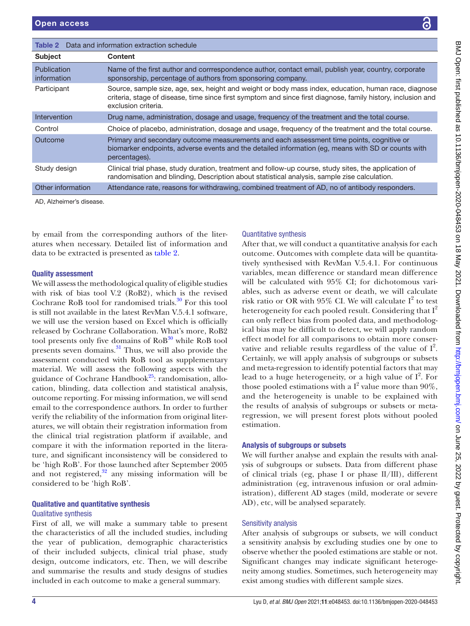| !<br>しこさ くてくこ こくこくしき                                                                                           |
|----------------------------------------------------------------------------------------------------------------|
|                                                                                                                |
| ì                                                                                                              |
|                                                                                                                |
|                                                                                                                |
| $\overline{ }$                                                                                                 |
|                                                                                                                |
|                                                                                                                |
|                                                                                                                |
| 1つ 1 1 2のデ mis 2.5<br>1                                                                                        |
| ווטווסט בין באמצעון ומספר באון אין האט אין באמצע באמצע האט היי באמצע האט היי היי האט היי היי האט היי היי האט ה |
| . ころころ ころ d l F r y i _ 、                                                                                      |
|                                                                                                                |
|                                                                                                                |
|                                                                                                                |
| <b>IS NON SON</b>                                                                                              |
|                                                                                                                |
|                                                                                                                |
|                                                                                                                |
| $\frac{1}{2}$                                                                                                  |
|                                                                                                                |
| ьd from http://bmiopen.tr                                                                                      |
|                                                                                                                |
|                                                                                                                |
|                                                                                                                |
|                                                                                                                |
|                                                                                                                |
|                                                                                                                |
| i                                                                                                              |
| ミニン けいしょう                                                                                                      |
|                                                                                                                |
| l                                                                                                              |
|                                                                                                                |
|                                                                                                                |
|                                                                                                                |
|                                                                                                                |
|                                                                                                                |
|                                                                                                                |

<span id="page-3-0"></span>

| <b>Table 2</b> Data and information extraction schedule |                                                                                                                                                                                                                                             |  |
|---------------------------------------------------------|---------------------------------------------------------------------------------------------------------------------------------------------------------------------------------------------------------------------------------------------|--|
| <b>Subject</b>                                          | <b>Content</b>                                                                                                                                                                                                                              |  |
| <b>Publication</b><br>information                       | Name of the first author and corrrespondence author, contact email, publish year, country, corporate<br>sponsorship, percentage of authors from sponsoring company.                                                                         |  |
| Participant                                             | Source, sample size, age, sex, height and weight or body mass index, education, human race, diagnose<br>criteria, stage of disease, time since first symptom and since first diagnose, family history, inclusion and<br>exclusion criteria. |  |
| Intervention                                            | Drug name, administration, dosage and usage, frequency of the treatment and the total course.                                                                                                                                               |  |
| Control                                                 | Choice of placebo, administration, dosage and usage, frequency of the treatment and the total course.                                                                                                                                       |  |
| Outcome                                                 | Primary and secondary outcome measurements and each assessment time points, cognitive or<br>biomarker endpoints, adverse events and the detailed information (eg, means with SD or counts with<br>percentages).                             |  |
| Study design                                            | Clinical trial phase, study duration, treatment and follow-up course, study sites, the application of<br>randomisation and blinding, Description about statistical analysis, sample zise calculation.                                       |  |
| Other information                                       | Attendance rate, reasons for withdrawing, combined treatment of AD, no of antibody responders.                                                                                                                                              |  |

AD, Alzheimer's disease.

by email from the corresponding authors of the literatures when necessary. Detailed list of information and data to be extracted is presented as [table](#page-3-0) 2.

#### Quality assessment

We will assess the methodological quality of eligible studies with risk of bias tool V.2 (RoB2), which is the revised Cochrane RoB tool for randomised trials. $30$  For this tool is still not available in the latest RevMan V.5.4.1 software, we will use the version based on Excel which is officially released by Cochrane Collaboration. What's more, RoB2 tool presents only five domains of  $RoB^{30}$  $RoB^{30}$  $RoB^{30}$  while RoB tool presents seven domains.<sup>31</sup> Thus, we will also provide the assessment conducted with RoB tool as supplementary material. We will assess the following aspects with the guidance of Cochrane Handbook $25$ : randomisation, allocation, blinding, data collection and statistical analysis, outcome reporting. For missing information, we will send email to the correspondence authors. In order to further verify the reliability of the information from original literatures, we will obtain their registration information from the clinical trial registration platform if available, and compare it with the information reported in the literature, and significant inconsistency will be considered to be 'high RoB'. For those launched after September 2005 and not registered, $32$  any missing information will be considered to be 'high RoB'.

# Qualitative and quantitative synthesis Qualitative synthesis

First of all, we will make a summary table to present the characteristics of all the included studies, including the year of publication, demographic characteristics of their included subjects, clinical trial phase, study design, outcome indicators, etc. Then, we will describe and summarise the results and study designs of studies included in each outcome to make a general summary.

# Quantitative synthesis

After that, we will conduct a quantitative analysis for each outcome. Outcomes with complete data will be quantitatively synthesised with RevMan V.5.4.1. For continuous variables, mean difference or standard mean difference will be calculated with 95% CI; for dichotomous variables, such as adverse event or death, we will calculate risk ratio or OR with  $95\%$  CI. We will calculate  $I^2$  to test heterogeneity for each pooled result. Considering that  $I^2$ can only reflect bias from pooled data, and methodological bias may be difficult to detect, we will apply random effect model for all comparisons to obtain more conservative and reliable results regardless of the value of  $I^2$ . Certainly, we will apply analysis of subgroups or subsets and meta-regression to identify potential factors that may lead to a huge heterogeneity, or a high value of  $I^2$ . For those pooled estimations with a  $I^2$  value more than 90%, and the heterogeneity is unable to be explained with the results of analysis of subgroups or subsets or metaregression, we will present forest plots without pooled estimation.

#### Analysis of subgroups or subsets

We will further analyse and explain the results with analysis of subgroups or subsets. Data from different phase of clinical trials (eg, phase Ⅰ or phase Ⅱ/Ⅲ), different administration (eg, intravenous infusion or oral administration), different AD stages (mild, moderate or severe AD), etc, will be analysed separately.

#### Sensitivity analysis

After analysis of subgroups or subsets, we will conduct a sensitivity analysis by excluding studies one by one to observe whether the pooled estimations are stable or not. Significant changes may indicate significant heterogeneity among studies. Sometimes, such heterogeneity may exist among studies with different sample sizes.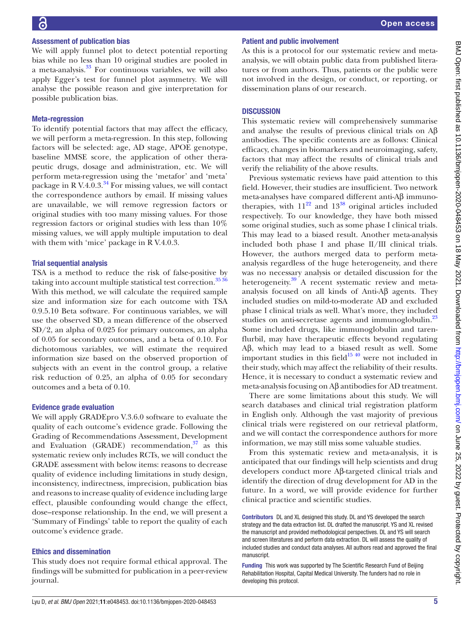# Assessment of publication bias

We will apply funnel plot to detect potential reporting bias while no less than 10 original studies are pooled in a meta-analysis.[33](#page-5-29) For continuous variables, we will also apply Egger's test for funnel plot asymmetry. We will analyse the possible reason and give interpretation for possible publication bias.

#### Meta-regression

To identify potential factors that may affect the efficacy, we will perform a meta-regression. In this step, following factors will be selected: age, AD stage, APOE genotype, baseline MMSE score, the application of other therapeutic drugs, dosage and administration, etc. We will perform meta-regression using the 'metafor' and 'meta' package in R V.4.0.3. $^{34}$  For missing values, we will contact the correspondence authors by email. If missing values are unavailable, we will remove regression factors or original studies with too many missing values. For those regression factors or original studies with less than 10% missing values, we will apply multiple imputation to deal with them with 'mice' package in R V.4.0.3.

#### Trial sequential analysis

TSA is a method to reduce the risk of false-positive by taking into account multiple statistical test correction.<sup>35 36</sup> With this method, we will calculate the required sample size and information size for each outcome with TSA 0.9.5.10 Beta software. For continuous variables, we will use the observed SD, a mean difference of the observed SD/2, an alpha of 0.025 for primary outcomes, an alpha of 0.05 for secondary outcomes, and a beta of 0.10. For dichotomous variables, we will estimate the required information size based on the observed proportion of subjects with an event in the control group, a relative risk reduction of 0.25, an alpha of 0.05 for secondary outcomes and a beta of 0.10.

# Evidence grade evaluation

We will apply GRADEpro V.3.6.0 software to evaluate the quality of each outcome's evidence grade. Following the Grading of Recommendations Assessment, Development and Evaluation (GRADE) recommendation, $37$  as this systematic review only includes RCTs, we will conduct the GRADE assessment with below items: reasons to decrease quality of evidence including limitations in study design, inconsistency, indirectness, imprecision, publication bias and reasons to increase quality of evidence including large effect, plausible confounding would change the effect, dose–response relationship. In the end, we will present a 'Summary of Findings' table to report the quality of each outcome's evidence grade.

#### Ethics and dissemination

This study does not require formal ethical approval. The findings will be submitted for publication in a peer-review journal.

#### Patient and public involvement

As this is a protocol for our systematic review and metaanalysis, we will obtain public data from published literatures or from authors. Thus, patients or the public were not involved in the design, or conduct, or reporting, or dissemination plans of our research.

#### **DISCUSSION**

This systematic review will comprehensively summarise and analyse the results of previous clinical trials on  $\mathbf{A}\mathbf{\beta}$ antibodies. The specific contents are as follows: Clinical efficacy, changes in biomarkers and neuroimaging, safety, factors that may affect the results of clinical trials and verify the reliability of the above results.

Previous systematic reviews have paid attention to this field. However, their studies are insufficient. Two network meta-analyses have compared different anti-Aβ immunotherapies, with  $11^{22}$  and  $13^{38}$  original articles included respectively. To our knowledge, they have both missed some original studies, such as some phase I clinical trials. This may lead to a biased result. Another meta-analysis included both phase Ⅰ and phase Ⅱ/Ⅲ clinical trials. However, the authors merged data to perform metaanalysis regardless of the huge heterogeneity, and there was no necessary analysis or detailed discussion for the heterogeneity.<sup>39</sup> A recent systematic review and metaanalysis focused on all kinds of Anti-Aβ agents. They included studies on mild-to-moderate AD and excluded phase Ⅰ clinical trials as well. What's more, they included studies on anti-secretase agents and immunoglobulin.<sup>[23](#page-5-19)</sup> Some included drugs, like immunoglobulin and tarenflurbil, may have therapeutic effects beyond regulating Aβ, which may lead to a biased result as well. Some important studies in this field $15\frac{40}{10}$  were not included in their study, which may affect the reliability of their results. Hence, it is necessary to conduct a systematic review and meta-analysis focusing on Aβ antibodies for AD treatment.

There are some limitations about this study. We will search databases and clinical trial registration platform in English only. Although the vast majority of previous clinical trials were registered on our retrieval platform, and we will contact the correspondence authors for more information, we may still miss some valuable studies.

From this systematic review and meta-analysis, it is anticipated that our findings will help scientists and drug developers conduct more Aβ-targeted clinical trials and identify the direction of drug development for AD in the future. In a word, we will provide evidence for further clinical practice and scientific studies.

Contributors DL and XL designed this study. DL and YS developed the search strategy and the data extraction list. DL drafted the manuscript. YS and XL revised the manuscript and provided methodological perspectives. DL and YS will search and screen literatures and perform data extraction. DL will assess the quality of included studies and conduct data analyses. All authors read and approved the final manuscript.

Funding This work was supported by The Scientific Research Fund of Beijing Rehabilitation Hospital, Capital Medical University. The funders had no role in developing this protocol.